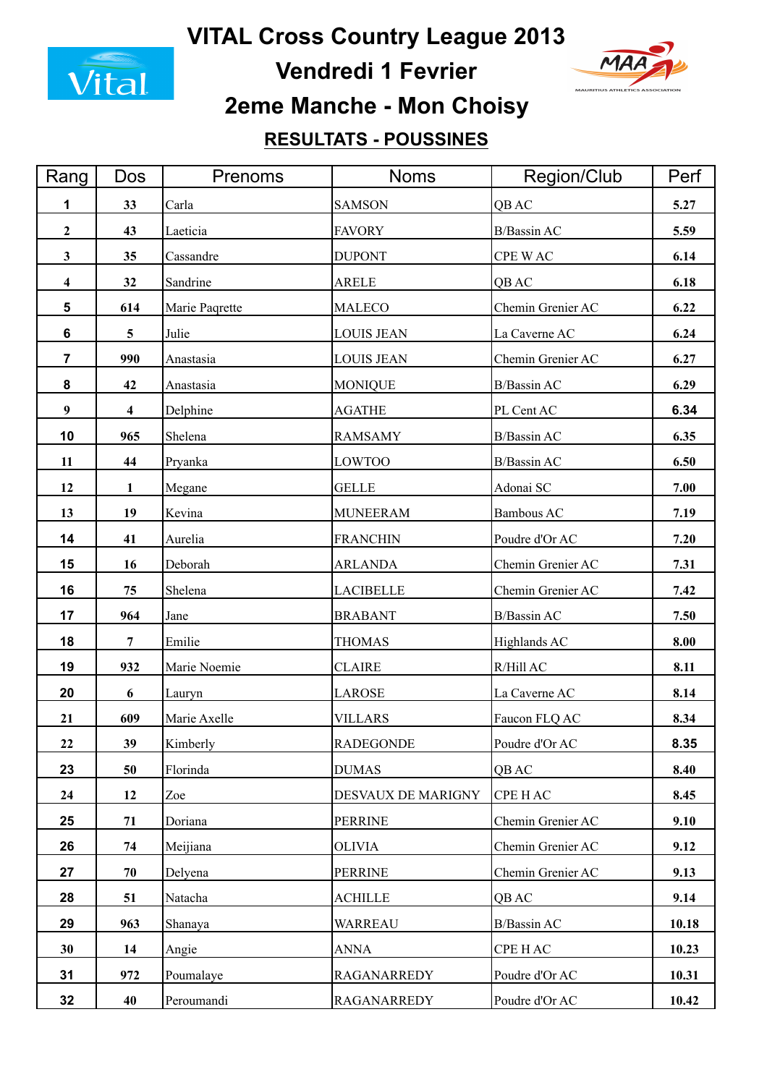

**Vendredi 1 Fevrier**



# **2eme Manche - Mon Choisy**

### **RESULTATS - POUSSINES**

| Rang                    | <b>Dos</b>              | Prenoms        | <b>Noms</b>        | Region/Club        | Perf  |
|-------------------------|-------------------------|----------------|--------------------|--------------------|-------|
| 1                       | 33                      | Carla          | <b>SAMSON</b>      | QB AC              | 5.27  |
| $\overline{2}$          | 43                      | Laeticia       | <b>FAVORY</b>      | <b>B/Bassin AC</b> | 5.59  |
| $\mathbf{3}$            | 35                      | Cassandre      | <b>DUPONT</b>      | CPE WAC            | 6.14  |
| $\overline{\mathbf{4}}$ | 32                      | Sandrine       | ARELE              | QB AC              | 6.18  |
| 5                       | 614                     | Marie Paqrette | <b>MALECO</b>      | Chemin Grenier AC  | 6.22  |
| 6                       | $\overline{5}$          | Julie          | <b>LOUIS JEAN</b>  | La Caverne AC      | 6.24  |
| $\overline{7}$          | 990                     | Anastasia      | <b>LOUIS JEAN</b>  | Chemin Grenier AC  | 6.27  |
| 8                       | 42                      | Anastasia      | <b>MONIQUE</b>     | <b>B/Bassin AC</b> | 6.29  |
| 9                       | $\overline{\mathbf{4}}$ | Delphine       | <b>AGATHE</b>      | PL Cent AC         | 6.34  |
| 10                      | 965                     | Shelena        | <b>RAMSAMY</b>     | <b>B/Bassin AC</b> | 6.35  |
| 11                      | 44                      | Pryanka        | <b>LOWTOO</b>      | <b>B/Bassin AC</b> | 6.50  |
| 12                      | 1                       | Megane         | <b>GELLE</b>       | Adonai SC          | 7.00  |
| 13                      | 19                      | Kevina         | <b>MUNEERAM</b>    | Bambous AC         | 7.19  |
| 14                      | 41                      | Aurelia        | <b>FRANCHIN</b>    | Poudre d'Or AC     | 7.20  |
| 15                      | 16                      | Deborah        | <b>ARLANDA</b>     | Chemin Grenier AC  | 7.31  |
| 16                      | 75                      | Shelena        | <b>LACIBELLE</b>   | Chemin Grenier AC  | 7.42  |
| 17                      | 964                     | Jane           | <b>BRABANT</b>     | <b>B/Bassin AC</b> | 7.50  |
| 18                      | $\overline{7}$          | Emilie         | <b>THOMAS</b>      | Highlands AC       | 8.00  |
| 19                      | 932                     | Marie Noemie   | <b>CLAIRE</b>      | R/Hill AC          | 8.11  |
| 20                      | 6                       | Lauryn         | <b>LAROSE</b>      | La Caverne AC      | 8.14  |
| 21                      | 609                     | Marie Axelle   | <b>VILLARS</b>     | Faucon FLQ AC      | 8.34  |
| 22                      | 39                      | Kimberly       | <b>RADEGONDE</b>   | Poudre d'Or AC     | 8.35  |
| 23                      | 50                      | Florinda       | <b>DUMAS</b>       | QB AC              | 8.40  |
| 24                      | 12                      | Zoe            | DESVAUX DE MARIGNY | <b>CPE HAC</b>     | 8.45  |
| 25                      | 71                      | Doriana        | <b>PERRINE</b>     | Chemin Grenier AC  | 9.10  |
| 26                      | 74                      | Meijiana       | OLIVIA             | Chemin Grenier AC  | 9.12  |
| 27                      | 70                      | Delyena        | <b>PERRINE</b>     | Chemin Grenier AC  | 9.13  |
| 28                      | 51                      | Natacha        | <b>ACHILLE</b>     | QB AC              | 9.14  |
| 29                      | 963                     | Shanaya        | WARREAU            | <b>B/Bassin AC</b> | 10.18 |
| 30                      | 14                      | Angie          | <b>ANNA</b>        | CPE HAC            | 10.23 |
| 31                      | 972                     | Poumalaye      | RAGANARREDY        | Poudre d'Or AC     | 10.31 |
| 32                      | 40                      | Peroumandi     | <b>RAGANARREDY</b> | Poudre d'Or AC     | 10.42 |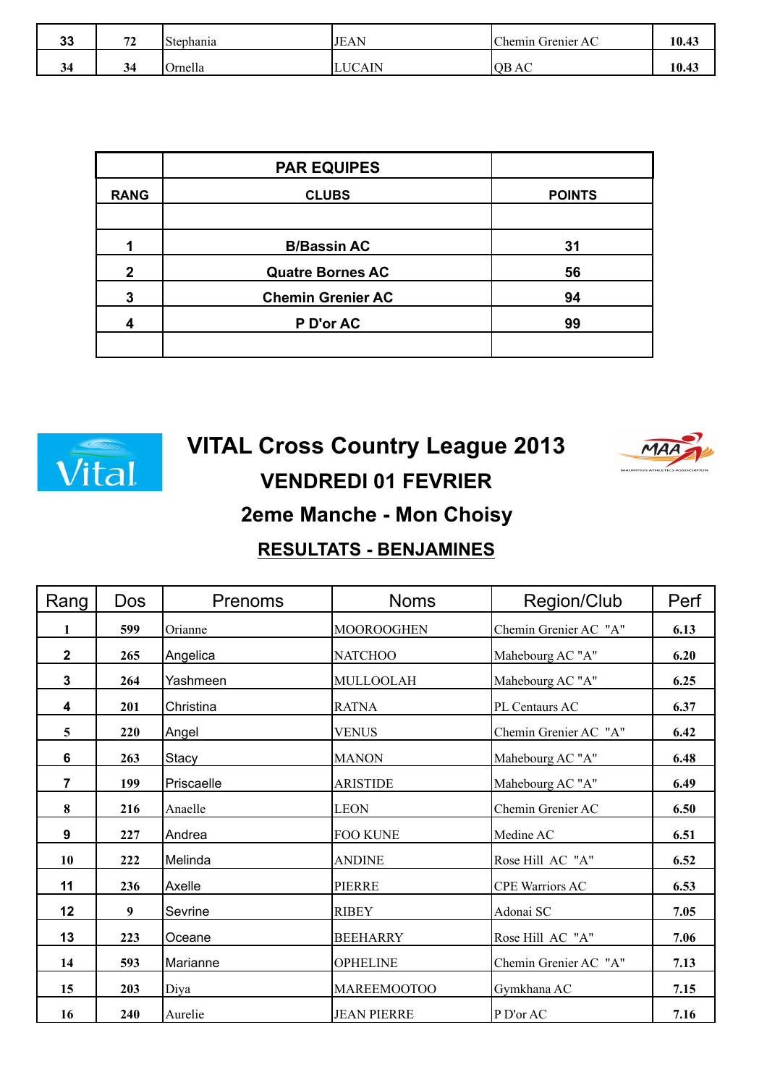| n a<br>งง | $\overline{a}$<br>. . | $\sim$<br>Stephania | <b>JEAN</b> | Chemin Grenier AC | 10.43 |
|-----------|-----------------------|---------------------|-------------|-------------------|-------|
| 54        | 34                    | )rnella             | UCAIN.      | <b>IQB AC</b>     | 10.43 |

|                | <b>PAR EQUIPES</b>       |               |
|----------------|--------------------------|---------------|
| <b>RANG</b>    | <b>CLUBS</b>             | <b>POINTS</b> |
|                |                          |               |
|                | <b>B/Bassin AC</b>       | 31            |
| $\overline{2}$ | <b>Quatre Bornes AC</b>  | 56            |
| 3              | <b>Chemin Grenier AC</b> | 94            |
| 4              | P D'or AC                | 99            |
|                |                          |               |



# **VENDREDI 01 FEVRIER VITAL Cross Country League 2013**



### **2eme Manche - Mon Choisy**

#### **RESULTATS - BENJAMINES**

| Rang           | <b>Dos</b> | <b>Prenoms</b> | <b>Noms</b>        | Region/Club            | Perf |
|----------------|------------|----------------|--------------------|------------------------|------|
| 1              | 599        | Orianne        | <b>MOOROOGHEN</b>  | Chemin Grenier AC "A"  | 6.13 |
| $\mathbf 2$    | 265        | Angelica       | <b>NATCHOO</b>     | Mahebourg AC "A"       | 6.20 |
| $\mathbf{3}$   | 264        | Yashmeen       | MULLOOLAH          | Mahebourg AC "A"       | 6.25 |
| 4              | 201        | Christina      | <b>RATNA</b>       | PL Centaurs AC         | 6.37 |
| 5              | 220        | Angel          | <b>VENUS</b>       | Chemin Grenier AC "A"  | 6.42 |
| 6              | 263        | Stacy          | <b>MANON</b>       | Mahebourg AC "A"       | 6.48 |
| $\overline{7}$ | 199        | Priscaelle     | <b>ARISTIDE</b>    | Mahebourg AC "A"       | 6.49 |
| 8              | 216        | Anaelle        | <b>LEON</b>        | Chemin Grenier AC      | 6.50 |
| 9              | 227        | Andrea         | <b>FOO KUNE</b>    | Medine AC              | 6.51 |
| 10             | 222        | Melinda        | <b>ANDINE</b>      | Rose Hill AC "A"       | 6.52 |
| 11             | 236        | Axelle         | <b>PIERRE</b>      | <b>CPE Warriors AC</b> | 6.53 |
| 12             | 9          | Sevrine        | <b>RIBEY</b>       | Adonai SC              | 7.05 |
| 13             | 223        | Oceane         | <b>BEEHARRY</b>    | Rose Hill AC "A"       | 7.06 |
| 14             | 593        | Marianne       | <b>OPHELINE</b>    | Chemin Grenier AC "A"  | 7.13 |
| 15             | 203        | Diya           | <b>MAREEMOOTOO</b> | Gymkhana AC            | 7.15 |
| 16             | 240        | Aurelie        | <b>JEAN PIERRE</b> | P D'or AC              | 7.16 |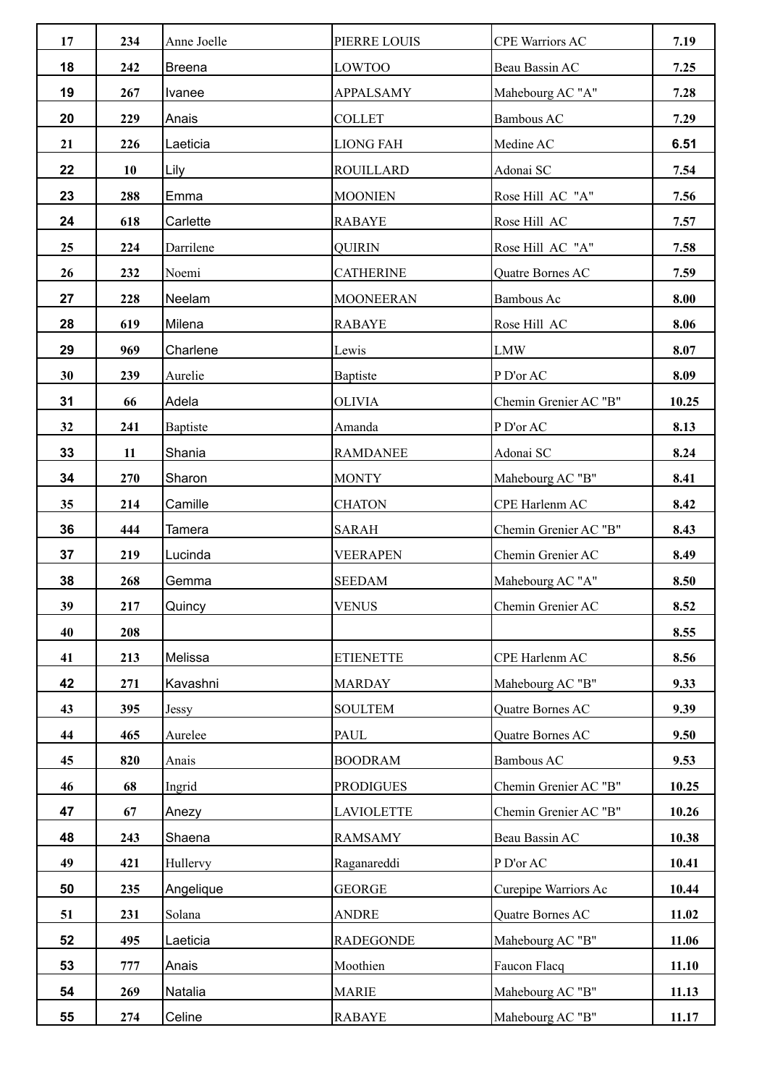| 17 | 234 | Anne Joelle   | PIERRE LOUIS      | <b>CPE Warriors AC</b> | 7.19  |
|----|-----|---------------|-------------------|------------------------|-------|
| 18 | 242 | <b>Breena</b> | LOWTOO            | Beau Bassin AC         | 7.25  |
| 19 | 267 | Ivanee        | <b>APPALSAMY</b>  | Mahebourg AC "A"       | 7.28  |
| 20 | 229 | Anais         | <b>COLLET</b>     | Bambous AC             | 7.29  |
| 21 | 226 | Laeticia      | <b>LIONG FAH</b>  | Medine AC              | 6.51  |
| 22 | 10  | Lily          | <b>ROUILLARD</b>  | Adonai SC              | 7.54  |
| 23 | 288 | Emma          | <b>MOONIEN</b>    | Rose Hill AC "A"       | 7.56  |
| 24 | 618 | Carlette      | <b>RABAYE</b>     | Rose Hill AC           | 7.57  |
| 25 | 224 | Darrilene     | <b>QUIRIN</b>     | Rose Hill AC "A"       | 7.58  |
| 26 | 232 | Noemi         | <b>CATHERINE</b>  | Quatre Bornes AC       | 7.59  |
| 27 | 228 | Neelam        | <b>MOONEERAN</b>  | Bambous Ac             | 8.00  |
| 28 | 619 | Milena        | <b>RABAYE</b>     | Rose Hill AC           | 8.06  |
| 29 | 969 | Charlene      | Lewis             | <b>LMW</b>             | 8.07  |
| 30 | 239 | Aurelie       | <b>Baptiste</b>   | P D'or AC              | 8.09  |
| 31 | 66  | Adela         | <b>OLIVIA</b>     | Chemin Grenier AC "B"  | 10.25 |
| 32 | 241 | Baptiste      | Amanda            | P D'or AC              | 8.13  |
| 33 | 11  | Shania        | <b>RAMDANEE</b>   | Adonai SC              | 8.24  |
| 34 | 270 | Sharon        | <b>MONTY</b>      | Mahebourg AC "B"       | 8.41  |
| 35 | 214 | Camille       | <b>CHATON</b>     | CPE Harlenm AC         | 8.42  |
| 36 | 444 | Tamera        | <b>SARAH</b>      | Chemin Grenier AC "B"  | 8.43  |
| 37 | 219 | Lucinda       | <b>VEERAPEN</b>   | Chemin Grenier AC      | 8.49  |
| 38 | 268 | Gemma         | <b>SEEDAM</b>     | Mahebourg AC "A"       | 8.50  |
| 39 | 217 | Quincy        | <b>VENUS</b>      | Chemin Grenier AC      | 8.52  |
| 40 | 208 |               |                   |                        | 8.55  |
| 41 | 213 | Melissa       | <b>ETIENETTE</b>  | CPE Harlenm AC         | 8.56  |
| 42 | 271 | Kavashni      | <b>MARDAY</b>     | Mahebourg AC "B"       | 9.33  |
| 43 | 395 | Jessy         | <b>SOULTEM</b>    | Quatre Bornes AC       | 9.39  |
| 44 | 465 | Aurelee       | PAUL              | Quatre Bornes AC       | 9.50  |
| 45 | 820 | Anais         | <b>BOODRAM</b>    | Bambous AC             | 9.53  |
| 46 | 68  | Ingrid        | <b>PRODIGUES</b>  | Chemin Grenier AC "B"  | 10.25 |
| 47 | 67  | Anezy         | <b>LAVIOLETTE</b> | Chemin Grenier AC "B"  | 10.26 |
| 48 | 243 | Shaena        | <b>RAMSAMY</b>    | Beau Bassin AC         | 10.38 |
| 49 | 421 | Hullervy      | Raganareddi       | P D'or AC              | 10.41 |
| 50 | 235 | Angelique     | <b>GEORGE</b>     | Curepipe Warriors Ac   | 10.44 |
| 51 | 231 | Solana        | <b>ANDRE</b>      | Quatre Bornes AC       | 11.02 |
| 52 | 495 | Laeticia      | <b>RADEGONDE</b>  | Mahebourg AC "B"       | 11.06 |
| 53 | 777 | Anais         | Moothien          | Faucon Flacq           | 11.10 |
| 54 | 269 | Natalia       | <b>MARIE</b>      | Mahebourg AC "B"       | 11.13 |
| 55 | 274 | Celine        | <b>RABAYE</b>     | Mahebourg AC "B"       | 11.17 |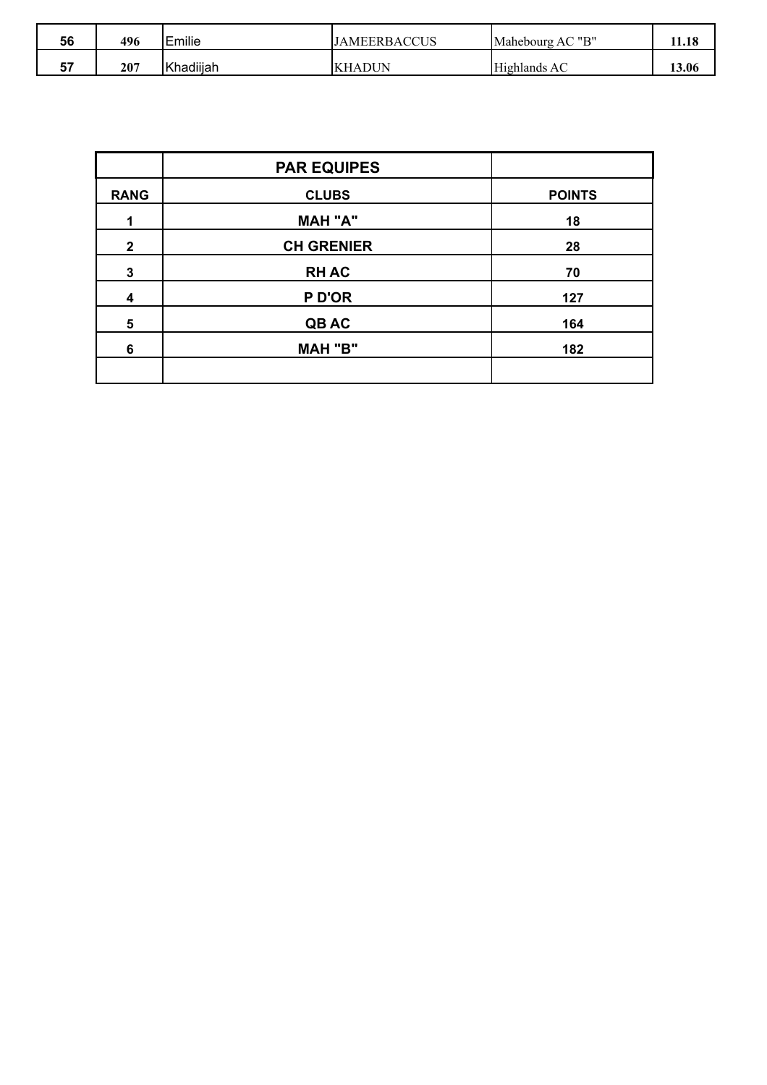| 56      | 496 | Emilie    | <b>JAMEERBACCUS</b> | ייםיי<br>Mahebourg AC | - 10<br>11.10 |
|---------|-----|-----------|---------------------|-----------------------|---------------|
| --<br>ັ | 207 | Khadiijah | IKHADUN             | Highlands AC          | 13.06         |

|              | <b>PAR EQUIPES</b> |               |
|--------------|--------------------|---------------|
| <b>RANG</b>  | <b>CLUBS</b>       | <b>POINTS</b> |
| 1            | <b>MAH "A"</b>     | 18            |
| $\mathbf{2}$ | <b>CH GRENIER</b>  | 28            |
| $\mathbf 3$  | <b>RHAC</b>        | 70            |
| 4            | P D'OR             | 127           |
| 5            | QB AC              | 164           |
| 6            | <b>MAH "B"</b>     | 182           |
|              |                    |               |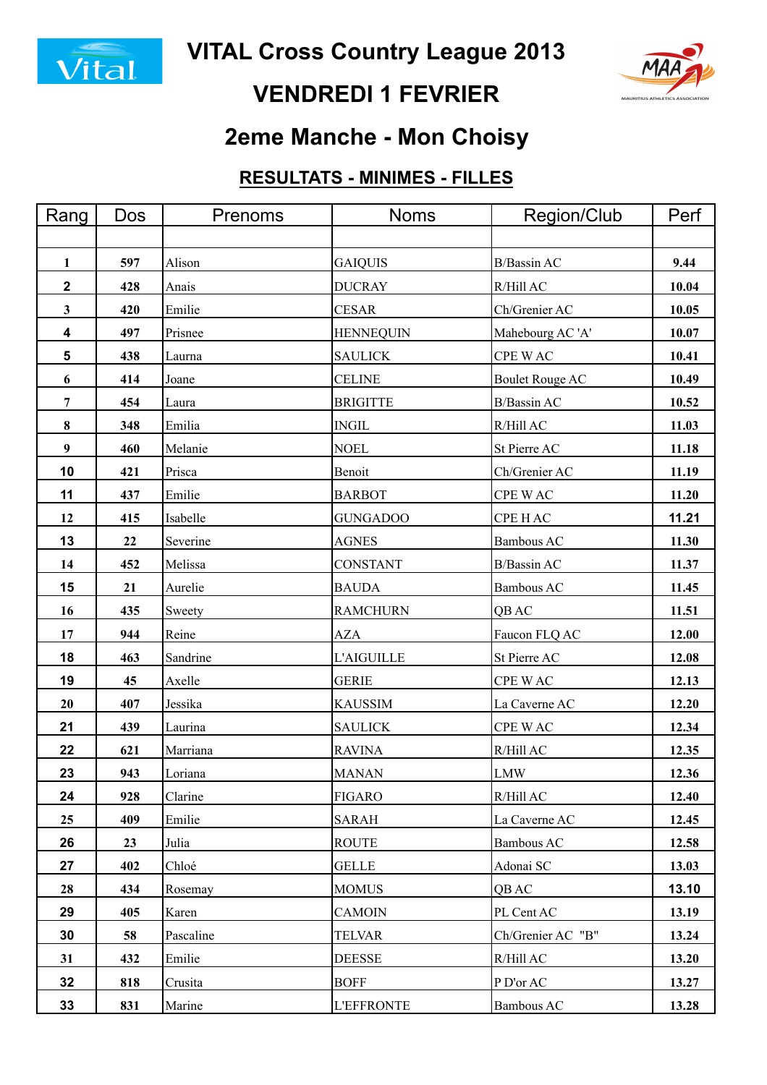



# **VENDREDI 1 FEVRIER**

## **2eme Manche - Mon Choisy**

### **RESULTATS - MINIMES - FILLES**

| Rang             | Dos | Prenoms   | <b>Noms</b>       | Region/Club            | Perf  |
|------------------|-----|-----------|-------------------|------------------------|-------|
|                  |     |           |                   |                        |       |
| 1                | 597 | Alison    | <b>GAIQUIS</b>    | B/Bassin AC            | 9.44  |
| $\mathbf 2$      | 428 | Anais     | <b>DUCRAY</b>     | R/Hill AC              | 10.04 |
| 3                | 420 | Emilie    | <b>CESAR</b>      | Ch/Grenier AC          | 10.05 |
| 4                | 497 | Prisnee   | <b>HENNEQUIN</b>  | Mahebourg AC 'A'       | 10.07 |
| 5                | 438 | Laurna    | <b>SAULICK</b>    | CPE WAC                | 10.41 |
| 6                | 414 | Joane     | <b>CELINE</b>     | <b>Boulet Rouge AC</b> | 10.49 |
| 7                | 454 | Laura     | <b>BRIGITTE</b>   | B/Bassin AC            | 10.52 |
| 8                | 348 | Emilia    | <b>INGIL</b>      | R/Hill AC              | 11.03 |
| $\boldsymbol{9}$ | 460 | Melanie   | <b>NOEL</b>       | St Pierre AC           | 11.18 |
| 10               | 421 | Prisca    | Benoit            | Ch/Grenier AC          | 11.19 |
| 11               | 437 | Emilie    | <b>BARBOT</b>     | CPE WAC                | 11.20 |
| 12               | 415 | Isabelle  | <b>GUNGADOO</b>   | CPE HAC                | 11.21 |
| 13               | 22  | Severine  | <b>AGNES</b>      | Bambous AC             | 11.30 |
| 14               | 452 | Melissa   | <b>CONSTANT</b>   | <b>B/Bassin AC</b>     | 11.37 |
| 15               | 21  | Aurelie   | <b>BAUDA</b>      | Bambous AC             | 11.45 |
| 16               | 435 | Sweety    | <b>RAMCHURN</b>   | QB AC                  | 11.51 |
| 17               | 944 | Reine     | <b>AZA</b>        | Faucon FLQ AC          | 12.00 |
| 18               | 463 | Sandrine  | <b>L'AIGUILLE</b> | St Pierre AC           | 12.08 |
| 19               | 45  | Axelle    | <b>GERIE</b>      | CPE WAC                | 12.13 |
| 20               | 407 | Jessika   | <b>KAUSSIM</b>    | La Caverne AC          | 12.20 |
| 21               | 439 | Laurina   | <b>SAULICK</b>    | CPE WAC                | 12.34 |
| 22               | 621 | Marriana  | <b>RAVINA</b>     | R/Hill AC              | 12.35 |
| 23               | 943 | Loriana   | <b>MANAN</b>      | <b>LMW</b>             | 12.36 |
| 24               | 928 | Clarine   | <b>FIGARO</b>     | R/Hill AC              | 12.40 |
| 25               | 409 | Emilie    | <b>SARAH</b>      | La Caverne AC          | 12.45 |
| 26               | 23  | Julia     | <b>ROUTE</b>      | Bambous AC             | 12.58 |
| 27               | 402 | Chloé     | <b>GELLE</b>      | Adonai SC              | 13.03 |
| 28               | 434 | Rosemay   | <b>MOMUS</b>      | QB AC                  | 13.10 |
| 29               | 405 | Karen     | <b>CAMOIN</b>     | PL Cent AC             | 13.19 |
| 30               | 58  | Pascaline | <b>TELVAR</b>     | Ch/Grenier AC "B"      | 13.24 |
| 31               | 432 | Emilie    | <b>DEESSE</b>     | R/Hill AC              | 13.20 |
| 32               | 818 | Crusita   | <b>BOFF</b>       | P D'or AC              | 13.27 |
| 33               | 831 | Marine    | <b>L'EFFRONTE</b> | Bambous AC             | 13.28 |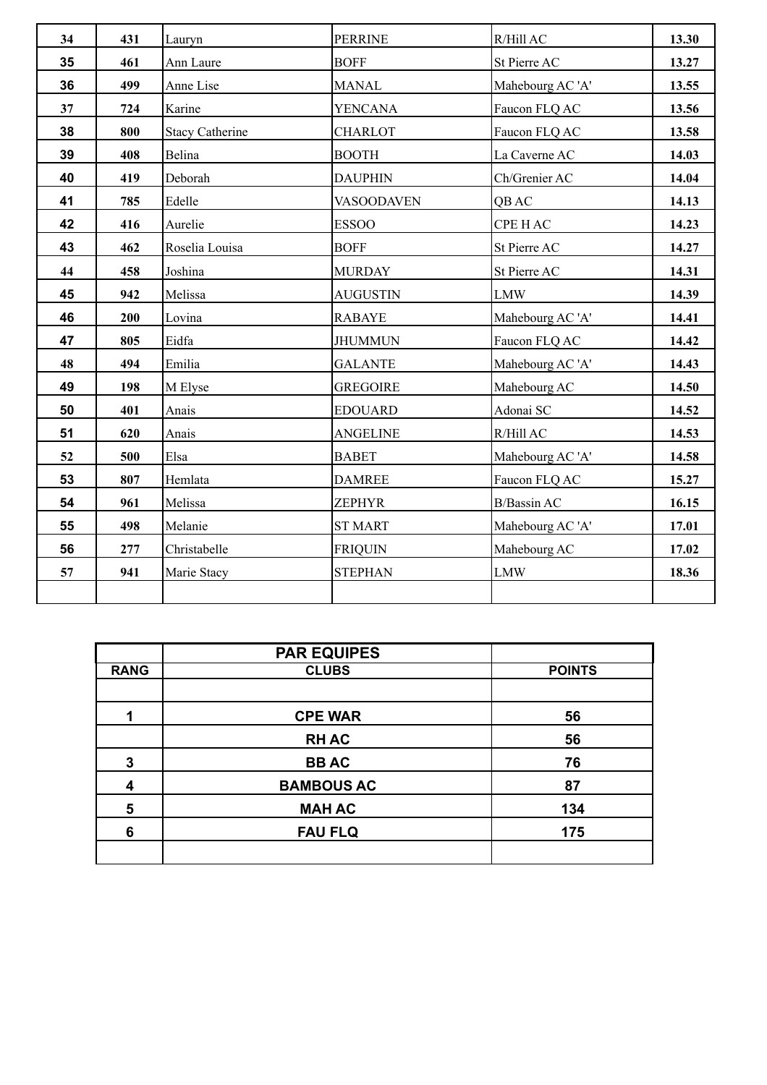| 34 | 431 | Lauryn                 | <b>PERRINE</b>    | $R/H$ ill AC       | 13.30 |
|----|-----|------------------------|-------------------|--------------------|-------|
| 35 | 461 | Ann Laure              | <b>BOFF</b>       | St Pierre AC       | 13.27 |
| 36 | 499 | Anne Lise              | <b>MANAL</b>      | Mahebourg AC 'A'   | 13.55 |
| 37 | 724 | Karine                 | <b>YENCANA</b>    | Faucon FLQ AC      | 13.56 |
| 38 | 800 | <b>Stacy Catherine</b> | <b>CHARLOT</b>    | Faucon FLQ AC      | 13.58 |
| 39 | 408 | Belina                 | <b>BOOTH</b>      | La Caverne AC      | 14.03 |
| 40 | 419 | Deborah                | <b>DAUPHIN</b>    | Ch/Grenier AC      | 14.04 |
| 41 | 785 | Edelle                 | <b>VASOODAVEN</b> | QB AC              | 14.13 |
| 42 | 416 | Aurelie                | <b>ESSOO</b>      | <b>CPE HAC</b>     | 14.23 |
| 43 | 462 | Roselia Louisa         | <b>BOFF</b>       | St Pierre AC       | 14.27 |
| 44 | 458 | Joshina                | <b>MURDAY</b>     | St Pierre AC       | 14.31 |
| 45 | 942 | Melissa                | <b>AUGUSTIN</b>   | <b>LMW</b>         | 14.39 |
| 46 | 200 | Lovina                 | <b>RABAYE</b>     | Mahebourg AC 'A'   | 14.41 |
| 47 | 805 | Eidfa                  | <b>JHUMMUN</b>    | Faucon FLQ AC      | 14.42 |
| 48 | 494 | Emilia                 | <b>GALANTE</b>    | Mahebourg AC 'A'   | 14.43 |
| 49 | 198 | M Elyse                | <b>GREGOIRE</b>   | Mahebourg AC       | 14.50 |
| 50 | 401 | Anais                  | <b>EDOUARD</b>    | Adonai SC          | 14.52 |
| 51 | 620 | Anais                  | <b>ANGELINE</b>   | R/Hill AC          | 14.53 |
| 52 | 500 | Elsa                   | <b>BABET</b>      | Mahebourg AC 'A'   | 14.58 |
| 53 | 807 | Hemlata                | <b>DAMREE</b>     | Faucon FLQ AC      | 15.27 |
| 54 | 961 | Melissa                | <b>ZEPHYR</b>     | <b>B/Bassin AC</b> | 16.15 |
| 55 | 498 | Melanie                | <b>ST MART</b>    | Mahebourg AC 'A'   | 17.01 |
| 56 | 277 | Christabelle           | <b>FRIQUIN</b>    | Mahebourg AC       | 17.02 |
| 57 | 941 | Marie Stacy            | <b>STEPHAN</b>    | <b>LMW</b>         | 18.36 |
|    |     |                        |                   |                    |       |

|             | <b>PAR EQUIPES</b> |               |
|-------------|--------------------|---------------|
| <b>RANG</b> | <b>CLUBS</b>       | <b>POINTS</b> |
|             |                    |               |
| 1           | <b>CPE WAR</b>     | 56            |
|             | <b>RHAC</b>        | 56            |
| 3           | <b>BBAC</b>        | 76            |
| 4           | <b>BAMBOUS AC</b>  | 87            |
| 5           | <b>MAH AC</b>      | 134           |
| 6           | <b>FAU FLQ</b>     | 175           |
|             |                    |               |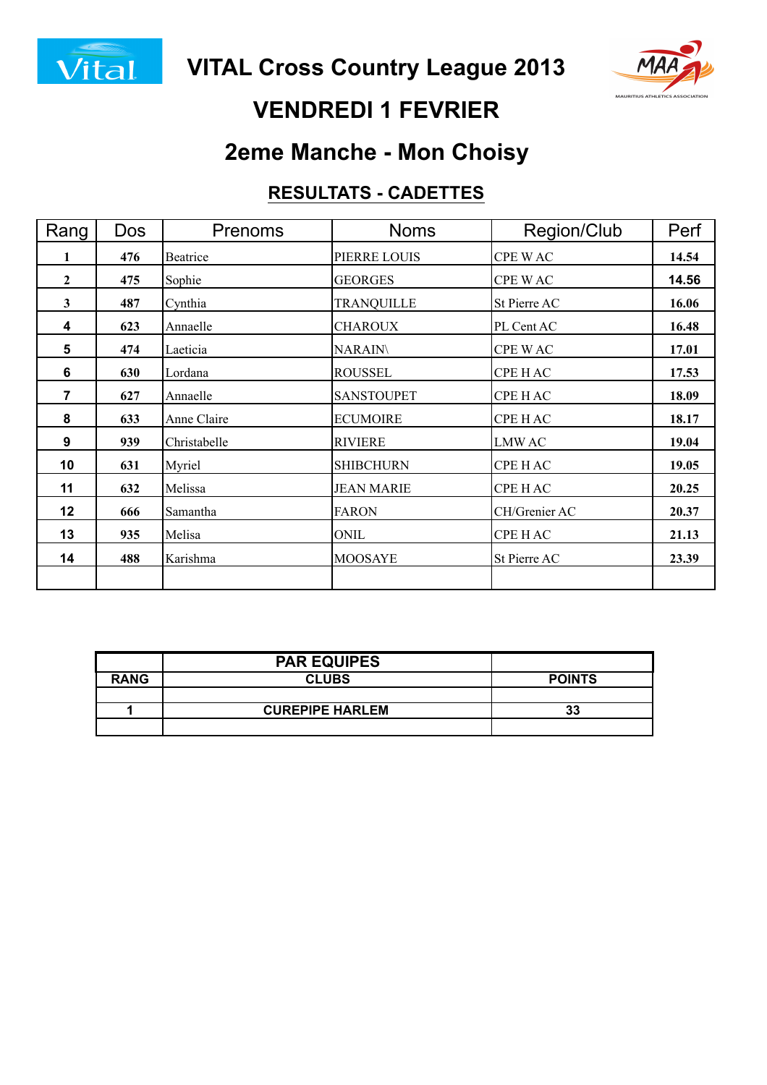



## **VENDREDI 1 FEVRIER**

## **2eme Manche - Mon Choisy**

#### **RESULTATS - CADETTES**

| Rang         | <b>Dos</b> | Prenoms      | <b>Noms</b>       | Region/Club    | Perf  |
|--------------|------------|--------------|-------------------|----------------|-------|
| 1            | 476        | Beatrice     | PIERRE LOUIS      | <b>CPE WAC</b> | 14.54 |
| $\mathbf{2}$ | 475        | Sophie       | <b>GEORGES</b>    | CPE WAC        | 14.56 |
| $\mathbf{3}$ | 487        | Cynthia      | <b>TRANQUILLE</b> | St Pierre AC   | 16.06 |
| 4            | 623        | Annaelle     | <b>CHAROUX</b>    | PL Cent AC     | 16.48 |
| 5            | 474        | Laeticia     | <b>NARAIN\</b>    | CPE WAC        | 17.01 |
| 6            | 630        | Lordana      | <b>ROUSSEL</b>    | CPE H AC       | 17.53 |
| 7            | 627        | Annaelle     | <b>SANSTOUPET</b> | CPE H AC       | 18.09 |
| 8            | 633        | Anne Claire  | <b>ECUMOIRE</b>   | CPE HAC        | 18.17 |
| 9            | 939        | Christabelle | <b>RIVIERE</b>    | <b>LMWAC</b>   | 19.04 |
| 10           | 631        | Myriel       | <b>SHIBCHURN</b>  | CPE H AC       | 19.05 |
| 11           | 632        | Melissa      | <b>JEAN MARIE</b> | <b>CPE HAC</b> | 20.25 |
| 12           | 666        | Samantha     | <b>FARON</b>      | CH/Grenier AC  | 20.37 |
| 13           | 935        | Melisa       | ONIL              | <b>CPE HAC</b> | 21.13 |
| 14           | 488        | Karishma     | <b>MOOSAYE</b>    | St Pierre AC   | 23.39 |
|              |            |              |                   |                |       |

|             | <b>PAR EQUIPES</b>     |               |
|-------------|------------------------|---------------|
| <b>RANG</b> | <b>CLUBS</b>           | <b>POINTS</b> |
|             |                        |               |
|             | <b>CUREPIPE HARLEM</b> | 33            |
|             |                        |               |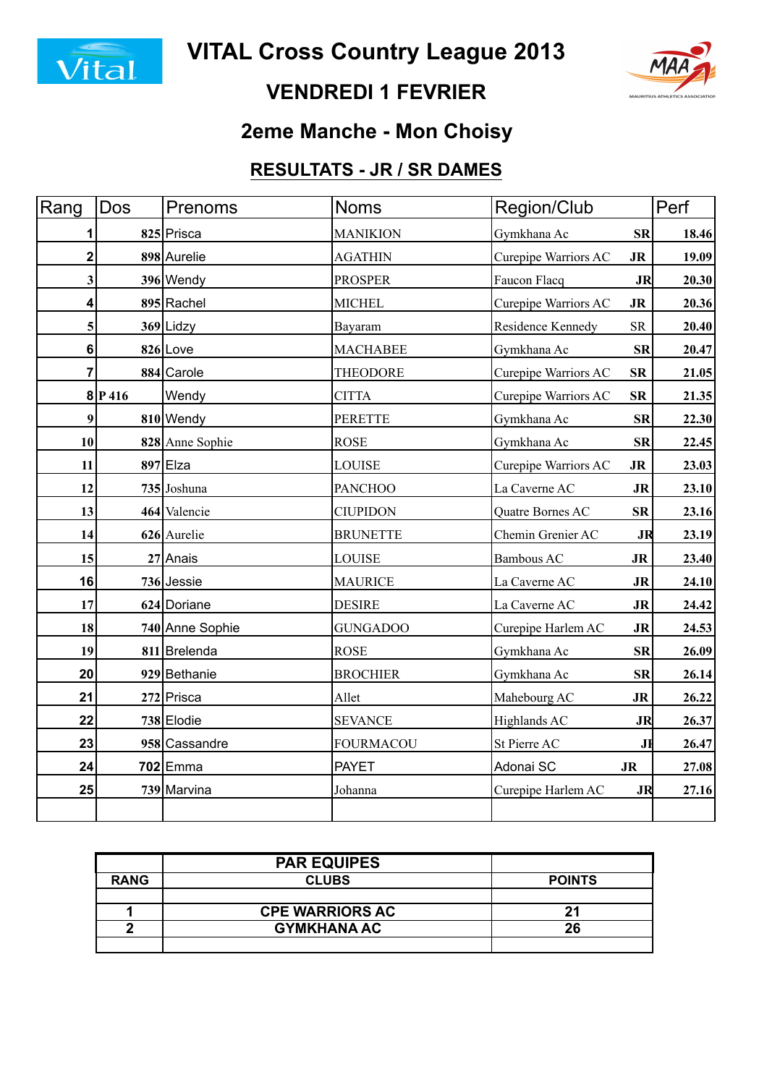



### **VENDREDI 1 FEVRIER**

### **2eme Manche - Mon Choisy**

### **RESULTATS - JR / SR DAMES**

| Rang | Dos    | Prenoms         | Noms             | Region/Club                         | Perf  |
|------|--------|-----------------|------------------|-------------------------------------|-------|
| 1    |        | 825 Prisca      | <b>MANIKION</b>  | Gymkhana Ac<br><b>SR</b>            | 18.46 |
| 2    |        | 898 Aurelie     | <b>AGATHIN</b>   | Curepipe Warriors AC<br><b>JR</b>   | 19.09 |
| 3    |        | 396 Wendy       | <b>PROSPER</b>   | Faucon Flacq<br><b>JR</b>           | 20.30 |
| 4    |        | 895 Rachel      | <b>MICHEL</b>    | Curepipe Warriors AC<br><b>JR</b>   | 20.36 |
| 5    |        | 369 Lidzy       | Bayaram          | Residence Kennedy<br>${\rm SR}$     | 20.40 |
| 6    |        | $826$ Love      | <b>MACHABEE</b>  | Gymkhana Ac<br><b>SR</b>            | 20.47 |
| 7    |        | 884 Carole      | <b>THEODORE</b>  | ${\bf SR}$<br>Curepipe Warriors AC  | 21.05 |
|      | 8 P416 | Wendy           | <b>CITTA</b>     | Curepipe Warriors AC<br>${\bf SR}$  | 21.35 |
| 9    |        | 810 Wendy       | <b>PERETTE</b>   | Gymkhana Ac<br>SR                   | 22.30 |
| 10   |        | 828 Anne Sophie | <b>ROSE</b>      | Gymkhana Ac<br><b>SR</b>            | 22.45 |
| 11   |        | $897$  Elza     | <b>LOUISE</b>    | Curepipe Warriors AC<br><b>JR</b>   | 23.03 |
| 12   |        | 735 Joshuna     | <b>PANCHOO</b>   | La Caverne AC<br><b>JR</b>          | 23.10 |
| 13   |        | 464 Valencie    | <b>CIUPIDON</b>  | Quatre Bornes AC<br>SR              | 23.16 |
| 14   |        | 626 Aurelie     | <b>BRUNETTE</b>  | Chemin Grenier AC<br>JR             | 23.19 |
| 15   |        | 27 Anais        | LOUISE           | <b>Bambous AC</b><br>JR             | 23.40 |
| 16   |        | 736 Jessie      | <b>MAURICE</b>   | La Caverne AC<br><b>JR</b>          | 24.10 |
| 17   |        | 624 Doriane     | <b>DESIRE</b>    | La Caverne AC<br><b>JR</b>          | 24.42 |
| 18   |        | 740 Anne Sophie | <b>GUNGADOO</b>  | Curepipe Harlem AC<br><b>JR</b>     | 24.53 |
| 19   |        | 811 Brelenda    | <b>ROSE</b>      | Gymkhana Ac<br><b>SR</b>            | 26.09 |
| 20   |        | 929 Bethanie    | <b>BROCHIER</b>  | Gymkhana Ac<br><b>SR</b>            | 26.14 |
| 21   |        | 272 Prisca      | Allet            | Mahebourg AC<br>J <sub>R</sub>      | 26.22 |
| 22   |        | 738 Elodie      | <b>SEVANCE</b>   | Highlands AC<br><b>JR</b>           | 26.37 |
| 23   |        | 958 Cassandre   | <b>FOURMACOU</b> | St Pierre AC<br>JĦ                  | 26.47 |
| 24   |        | 702 Emma        | <b>PAYET</b>     | Adonai SC<br>$\mathbf{J}\mathbf{R}$ | 27.08 |
| 25   |        | 739 Marvina     | Johanna          | Curepipe Harlem AC<br>JR            | 27.16 |
|      |        |                 |                  |                                     |       |

|             | <b>PAR EQUIPES</b>     |               |
|-------------|------------------------|---------------|
| <b>RANG</b> | <b>CLUBS</b>           | <b>POINTS</b> |
|             |                        |               |
|             | <b>CPE WARRIORS AC</b> | 21            |
| n           | <b>GYMKHANA AC</b>     | 26            |
|             |                        |               |